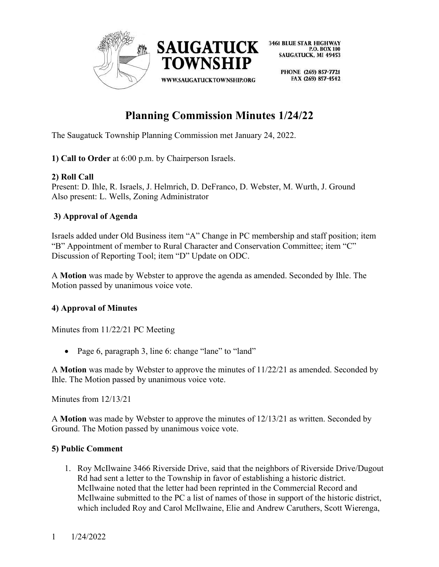

> PHONE (269) 857-7721 FAX (269) 857-4542

# **Planning Commission Minutes 1/24/22**

The Saugatuck Township Planning Commission met January 24, 2022.

**1) Call to Order** at 6:00 p.m. by Chairperson Israels.

## **2) Roll Call**

Present: D. Ihle, R. Israels, J. Helmrich, D. DeFranco, D. Webster, M. Wurth, J. Ground Also present: L. Wells, Zoning Administrator

## **3) Approval of Agenda**

Israels added under Old Business item "A" Change in PC membership and staff position; item "B" Appointment of member to Rural Character and Conservation Committee; item "C" Discussion of Reporting Tool; item "D" Update on ODC.

A **Motion** was made by Webster to approve the agenda as amended. Seconded by Ihle. The Motion passed by unanimous voice vote.

## **4) Approval of Minutes**

Minutes from 11/22/21 PC Meeting

• Page 6, paragraph 3, line 6: change "lane" to "land"

A **Motion** was made by Webster to approve the minutes of 11/22/21 as amended. Seconded by Ihle. The Motion passed by unanimous voice vote.

Minutes from 12/13/21

A **Motion** was made by Webster to approve the minutes of 12/13/21 as written. Seconded by Ground. The Motion passed by unanimous voice vote.

## **5) Public Comment**

1. Roy McIlwaine 3466 Riverside Drive, said that the neighbors of Riverside Drive/Dugout Rd had sent a letter to the Township in favor of establishing a historic district. McIlwaine noted that the letter had been reprinted in the Commercial Record and McIlwaine submitted to the PC a list of names of those in support of the historic district, which included Roy and Carol McIlwaine, Elie and Andrew Caruthers, Scott Wierenga,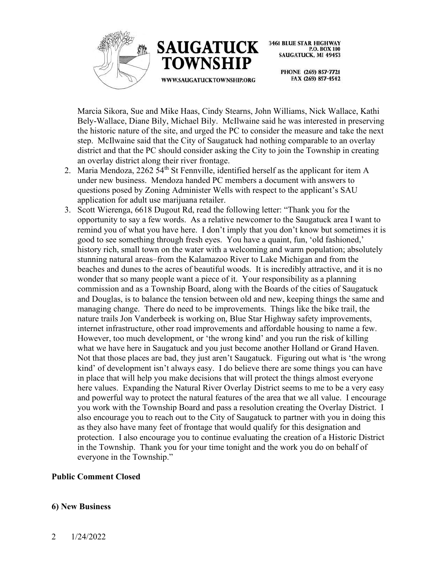



> PHONE (269) 857-7721 FAX (269) 857-4542

Marcia Sikora, Sue and Mike Haas, Cindy Stearns, John Williams, Nick Wallace, Kathi Bely-Wallace, Diane Bily, Michael Bily. McIlwaine said he was interested in preserving the historic nature of the site, and urged the PC to consider the measure and take the next step. McIlwaine said that the City of Saugatuck had nothing comparable to an overlay district and that the PC should consider asking the City to join the Township in creating an overlay district along their river frontage.

- 2. Maria Mendoza, 2262 54th St Fennville, identified herself as the applicant for item A under new business. Mendoza handed PC members a document with answers to questions posed by Zoning Administer Wells with respect to the applicant's SAU application for adult use marijuana retailer.
- 3. Scott Wierenga, 6618 Dugout Rd, read the following letter: "Thank you for the opportunity to say a few words. As a relative newcomer to the Saugatuck area I want to remind you of what you have here. I don't imply that you don't know but sometimes it is good to see something through fresh eyes. You have a quaint, fun, 'old fashioned,' history rich, small town on the water with a welcoming and warm population; absolutely stunning natural areas–from the Kalamazoo River to Lake Michigan and from the beaches and dunes to the acres of beautiful woods. It is incredibly attractive, and it is no wonder that so many people want a piece of it. Your responsibility as a planning commission and as a Township Board, along with the Boards of the cities of Saugatuck and Douglas, is to balance the tension between old and new, keeping things the same and managing change. There do need to be improvements. Things like the bike trail, the nature trails Jon Vanderbeek is working on, Blue Star Highway safety improvements, internet infrastructure, other road improvements and affordable housing to name a few. However, too much development, or 'the wrong kind' and you run the risk of killing what we have here in Saugatuck and you just become another Holland or Grand Haven. Not that those places are bad, they just aren't Saugatuck. Figuring out what is 'the wrong kind' of development isn't always easy. I do believe there are some things you can have in place that will help you make decisions that will protect the things almost everyone here values. Expanding the Natural River Overlay District seems to me to be a very easy and powerful way to protect the natural features of the area that we all value. I encourage you work with the Township Board and pass a resolution creating the Overlay District. I also encourage you to reach out to the City of Saugatuck to partner with you in doing this as they also have many feet of frontage that would qualify for this designation and protection. I also encourage you to continue evaluating the creation of a Historic District in the Township. Thank you for your time tonight and the work you do on behalf of everyone in the Township."

#### **Public Comment Closed**

#### **6) New Business**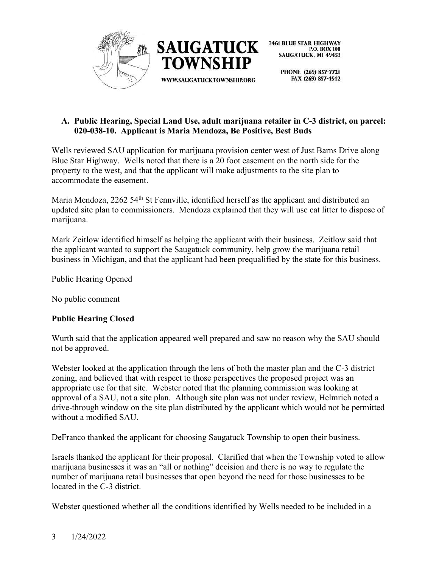

> PHONE (269) 857-7721 FAX (269) 857-4542

## **A. Public Hearing, Special Land Use, adult marijuana retailer in C-3 district, on parcel: 020-038-10. Applicant is Maria Mendoza, Be Positive, Best Buds**

Wells reviewed SAU application for marijuana provision center west of Just Barns Drive along Blue Star Highway. Wells noted that there is a 20 foot easement on the north side for the property to the west, and that the applicant will make adjustments to the site plan to accommodate the easement.

Maria Mendoza, 2262 54<sup>th</sup> St Fennville, identified herself as the applicant and distributed an updated site plan to commissioners. Mendoza explained that they will use cat litter to dispose of marijuana.

Mark Zeitlow identified himself as helping the applicant with their business. Zeitlow said that the applicant wanted to support the Saugatuck community, help grow the marijuana retail business in Michigan, and that the applicant had been prequalified by the state for this business.

Public Hearing Opened

No public comment

## **Public Hearing Closed**

Wurth said that the application appeared well prepared and saw no reason why the SAU should not be approved.

Webster looked at the application through the lens of both the master plan and the C-3 district zoning, and believed that with respect to those perspectives the proposed project was an appropriate use for that site. Webster noted that the planning commission was looking at approval of a SAU, not a site plan. Although site plan was not under review, Helmrich noted a drive-through window on the site plan distributed by the applicant which would not be permitted without a modified SAU.

DeFranco thanked the applicant for choosing Saugatuck Township to open their business.

Israels thanked the applicant for their proposal. Clarified that when the Township voted to allow marijuana businesses it was an "all or nothing" decision and there is no way to regulate the number of marijuana retail businesses that open beyond the need for those businesses to be located in the C-3 district.

Webster questioned whether all the conditions identified by Wells needed to be included in a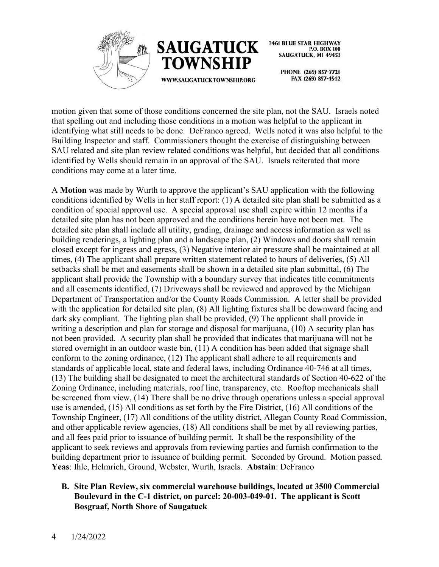



> PHONE (269) 857-7721 FAX (269) 857-4542

motion given that some of those conditions concerned the site plan, not the SAU. Israels noted that spelling out and including those conditions in a motion was helpful to the applicant in identifying what still needs to be done. DeFranco agreed. Wells noted it was also helpful to the Building Inspector and staff. Commissioners thought the exercise of distinguishing between SAU related and site plan review related conditions was helpful, but decided that all conditions identified by Wells should remain in an approval of the SAU. Israels reiterated that more conditions may come at a later time.

A **Motion** was made by Wurth to approve the applicant's SAU application with the following conditions identified by Wells in her staff report: (1) A detailed site plan shall be submitted as a condition of special approval use. A special approval use shall expire within 12 months if a detailed site plan has not been approved and the conditions herein have not been met. The detailed site plan shall include all utility, grading, drainage and access information as well as building renderings, a lighting plan and a landscape plan, (2) Windows and doors shall remain closed except for ingress and egress, (3) Negative interior air pressure shall be maintained at all times, (4) The applicant shall prepare written statement related to hours of deliveries, (5) All setbacks shall be met and easements shall be shown in a detailed site plan submittal, (6) The applicant shall provide the Township with a boundary survey that indicates title commitments and all easements identified, (7) Driveways shall be reviewed and approved by the Michigan Department of Transportation and/or the County Roads Commission. A letter shall be provided with the application for detailed site plan, (8) All lighting fixtures shall be downward facing and dark sky compliant. The lighting plan shall be provided, (9) The applicant shall provide in writing a description and plan for storage and disposal for marijuana, (10) A security plan has not been provided. A security plan shall be provided that indicates that marijuana will not be stored overnight in an outdoor waste bin, (11) A condition has been added that signage shall conform to the zoning ordinance, (12) The applicant shall adhere to all requirements and standards of applicable local, state and federal laws, including Ordinance 40-746 at all times, (13) The building shall be designated to meet the architectural standards of Section 40-622 of the Zoning Ordinance, including materials, roof line, transparency, etc. Rooftop mechanicals shall be screened from view, (14) There shall be no drive through operations unless a special approval use is amended, (15) All conditions as set forth by the Fire District, (16) All conditions of the Township Engineer, (17) All conditions of the utility district, Allegan County Road Commission, and other applicable review agencies, (18) All conditions shall be met by all reviewing parties, and all fees paid prior to issuance of building permit. It shall be the responsibility of the applicant to seek reviews and approvals from reviewing parties and furnish confirmation to the building department prior to issuance of building permit. Seconded by Ground. Motion passed. **Yeas**: Ihle, Helmrich, Ground, Webster, Wurth, Israels. **Abstain**: DeFranco

## **B. Site Plan Review, six commercial warehouse buildings, located at 3500 Commercial Boulevard in the C-1 district, on parcel: 20-003-049-01. The applicant is Scott Bosgraaf, North Shore of Saugatuck**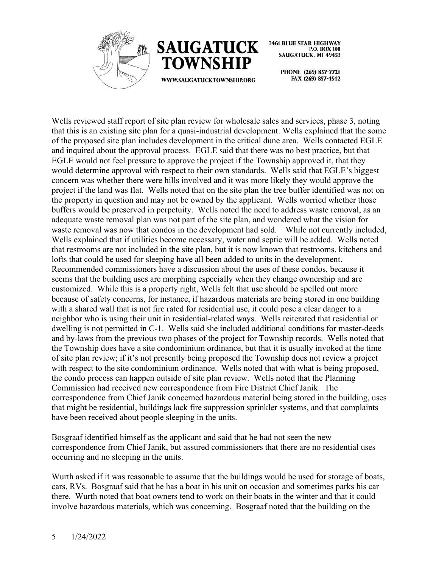



> PHONE (269) 857-7721 FAX (269) 857-4542

Wells reviewed staff report of site plan review for wholesale sales and services, phase 3, noting that this is an existing site plan for a quasi-industrial development. Wells explained that the some of the proposed site plan includes development in the critical dune area. Wells contacted EGLE and inquired about the approval process. EGLE said that there was no best practice, but that EGLE would not feel pressure to approve the project if the Township approved it, that they would determine approval with respect to their own standards. Wells said that EGLE's biggest concern was whether there were hills involved and it was more likely they would approve the project if the land was flat. Wells noted that on the site plan the tree buffer identified was not on the property in question and may not be owned by the applicant. Wells worried whether those buffers would be preserved in perpetuity. Wells noted the need to address waste removal, as an adequate waste removal plan was not part of the site plan, and wondered what the vision for waste removal was now that condos in the development had sold. While not currently included, Wells explained that if utilities become necessary, water and septic will be added. Wells noted that restrooms are not included in the site plan, but it is now known that restrooms, kitchens and lofts that could be used for sleeping have all been added to units in the development. Recommended commissioners have a discussion about the uses of these condos, because it seems that the building uses are morphing especially when they change ownership and are customized. While this is a property right, Wells felt that use should be spelled out more because of safety concerns, for instance, if hazardous materials are being stored in one building with a shared wall that is not fire rated for residential use, it could pose a clear danger to a neighbor who is using their unit in residential-related ways. Wells reiterated that residential or dwelling is not permitted in C-1. Wells said she included additional conditions for master-deeds and by-laws from the previous two phases of the project for Township records. Wells noted that the Township does have a site condominium ordinance, but that it is usually invoked at the time of site plan review; if it's not presently being proposed the Township does not review a project with respect to the site condominium ordinance. Wells noted that with what is being proposed, the condo process can happen outside of site plan review. Wells noted that the Planning Commission had received new correspondence from Fire District Chief Janik. The correspondence from Chief Janik concerned hazardous material being stored in the building, uses that might be residential, buildings lack fire suppression sprinkler systems, and that complaints have been received about people sleeping in the units.

Bosgraaf identified himself as the applicant and said that he had not seen the new correspondence from Chief Janik, but assured commissioners that there are no residential uses occurring and no sleeping in the units.

Wurth asked if it was reasonable to assume that the buildings would be used for storage of boats, cars, RVs. Bosgraaf said that he has a boat in his unit on occasion and sometimes parks his car there. Wurth noted that boat owners tend to work on their boats in the winter and that it could involve hazardous materials, which was concerning. Bosgraaf noted that the building on the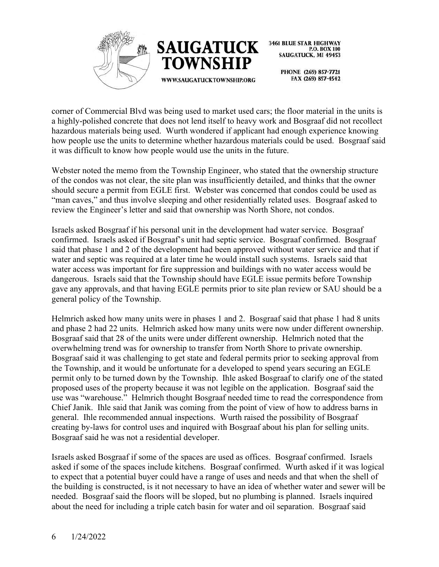



> PHONE (269) 857-7721 FAX (269) 857-4542

corner of Commercial Blvd was being used to market used cars; the floor material in the units is a highly-polished concrete that does not lend itself to heavy work and Bosgraaf did not recollect hazardous materials being used. Wurth wondered if applicant had enough experience knowing how people use the units to determine whether hazardous materials could be used. Bosgraaf said it was difficult to know how people would use the units in the future.

Webster noted the memo from the Township Engineer, who stated that the ownership structure of the condos was not clear, the site plan was insufficiently detailed, and thinks that the owner should secure a permit from EGLE first. Webster was concerned that condos could be used as "man caves," and thus involve sleeping and other residentially related uses. Bosgraaf asked to review the Engineer's letter and said that ownership was North Shore, not condos.

Israels asked Bosgraaf if his personal unit in the development had water service. Bosgraaf confirmed. Israels asked if Bosgraaf's unit had septic service. Bosgraaf confirmed. Bosgraaf said that phase 1 and 2 of the development had been approved without water service and that if water and septic was required at a later time he would install such systems. Israels said that water access was important for fire suppression and buildings with no water access would be dangerous. Israels said that the Township should have EGLE issue permits before Township gave any approvals, and that having EGLE permits prior to site plan review or SAU should be a general policy of the Township.

Helmrich asked how many units were in phases 1 and 2. Bosgraaf said that phase 1 had 8 units and phase 2 had 22 units. Helmrich asked how many units were now under different ownership. Bosgraaf said that 28 of the units were under different ownership. Helmrich noted that the overwhelming trend was for ownership to transfer from North Shore to private ownership. Bosgraaf said it was challenging to get state and federal permits prior to seeking approval from the Township, and it would be unfortunate for a developed to spend years securing an EGLE permit only to be turned down by the Township. Ihle asked Bosgraaf to clarify one of the stated proposed uses of the property because it was not legible on the application. Bosgraaf said the use was "warehouse." Helmrich thought Bosgraaf needed time to read the correspondence from Chief Janik. Ihle said that Janik was coming from the point of view of how to address barns in general. Ihle recommended annual inspections. Wurth raised the possibility of Bosgraaf creating by-laws for control uses and inquired with Bosgraaf about his plan for selling units. Bosgraaf said he was not a residential developer.

Israels asked Bosgraaf if some of the spaces are used as offices. Bosgraaf confirmed. Israels asked if some of the spaces include kitchens. Bosgraaf confirmed. Wurth asked if it was logical to expect that a potential buyer could have a range of uses and needs and that when the shell of the building is constructed, is it not necessary to have an idea of whether water and sewer will be needed. Bosgraaf said the floors will be sloped, but no plumbing is planned. Israels inquired about the need for including a triple catch basin for water and oil separation. Bosgraaf said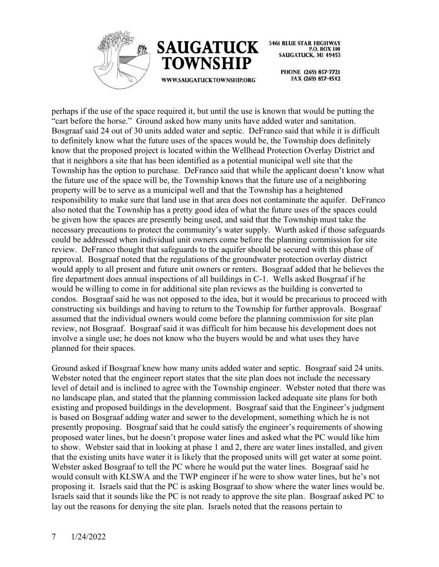



WWW.SAUGATUCKTOWNSHIP.ORG

**3461 BLUE STAR HIGHWAY** P.O. BOX 100 **SAUGATUCK, MI 49453** 

> PHONE (269) 857-7721 FAX (269) 857-4542

perhaps if the use of the space required it, but until the use is known that would be putting the "cart before the horse." Ground asked how many units have added water and sanitation. Bosgraaf said 24 out of 30 units added water and septic. DeFranco said that while it is difficult to definitely know what the future uses of the spaces would be, the Township does definitely know that the proposed project is located within the Wellhead Protection Overlay District and that it neighbors a site that has been identified as a potential municipal well site that the Township has the option to purchase. DeFranco said that while the applicant doesn't know what the future use of the space will be, the Township knows that the future use of a neighboring property will be to serve as a municipal well and that the Township has a heightened responsibility to make sure that land use in that area does not contaminate the aquifer. DeFranco also noted that the Township has a pretty good idea of what the future uses of the spaces could be given how the spaces are presently being used, and said that the Township must take the necessary precautions to protect the community's water supply. Wurth asked if those safeguards could be addressed when individual unit owners come before the planning commission for site review. DeFranco thought that safeguards to the aquifer should be secured with this phase of approval. Bosgraaf noted that the regulations of the groundwater protection overlay district would apply to all present and future unit owners or renters. Bosgraaf added that he believes the fire department does annual inspections of all buildings in C-1. Wells asked Bosgraaf if he would be willing to come in for additional site plan reviews as the building is converted to condos. Bosgraaf said he was not opposed to the idea, but it would be precarious to proceed with constructing six buildings and having to return to the Township for further approvals. Bosgraaf assumed that the individual owners would come before the planning commission for site plan review, not Bosgraaf. Bosgraaf said it was difficult for him because his development does not involve a single use; he does not know who the buyers would be and what uses they have planned for their spaces.

Ground asked if Bosgraaf knew how many units added water and septic. Bosgraaf said 24 units. Webster noted that the engineer report states that the site plan does not include the necessary level of detail and is inclined to agree with the Township engineer. Webster noted that there was no landscape plan, and stated that the planning commission lacked adequate site plans for both existing and proposed buildings in the development. Bosgraaf said that the Engineer's judgment is based on Bosgraaf adding water and sewer to the development, something which he is not presently proposing. Bosgraaf said that he could satisfy the engineer's requirements of showing proposed water lines, but he doesn't propose water lines and asked what the PC would like him to show. Webster said that in looking at phase 1 and 2, there are water lines installed, and given that the existing units have water it is likely that the proposed units will get water at some point. Webster asked Bosgraaf to tell the PC where he would put the water lines. Bosgraaf said he would consult with KLSWA and the TWP engineer if he were to show water lines, but he's not proposing it. Israels said that the PC is asking Bosgraaf to show where the water lines would be. Israels said that it sounds like the PC is not ready to approve the site plan. Bosgraaf asked PC to lay out the reasons for denying the site plan. Israels noted that the reasons pertain to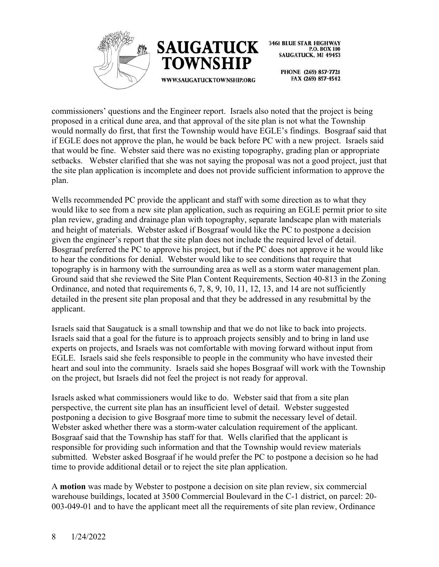



WWW.SAUGATUCKTOWNSHIP.ORG

**3461 BLUE STAR HIGHWAY** P.O. BOX 100 **SAUGATUCK, MI 49453** 

PHONE (269) 857-7721 FAX (269) 857-4542

commissioners' questions and the Engineer report. Israels also noted that the project is being proposed in a critical dune area, and that approval of the site plan is not what the Township would normally do first, that first the Township would have EGLE's findings. Bosgraaf said that if EGLE does not approve the plan, he would be back before PC with a new project. Israels said that would be fine. Webster said there was no existing topography, grading plan or appropriate setbacks. Webster clarified that she was not saying the proposal was not a good project, just that the site plan application is incomplete and does not provide sufficient information to approve the plan.

Wells recommended PC provide the applicant and staff with some direction as to what they would like to see from a new site plan application, such as requiring an EGLE permit prior to site plan review, grading and drainage plan with topography, separate landscape plan with materials and height of materials. Webster asked if Bosgraaf would like the PC to postpone a decision given the engineer's report that the site plan does not include the required level of detail. Bosgraaf preferred the PC to approve his project, but if the PC does not approve it he would like to hear the conditions for denial. Webster would like to see conditions that require that topography is in harmony with the surrounding area as well as a storm water management plan. Ground said that she reviewed the Site Plan Content Requirements, Section 40-813 in the Zoning Ordinance, and noted that requirements 6, 7, 8, 9, 10, 11, 12, 13, and 14 are not sufficiently detailed in the present site plan proposal and that they be addressed in any resubmittal by the applicant.

Israels said that Saugatuck is a small township and that we do not like to back into projects. Israels said that a goal for the future is to approach projects sensibly and to bring in land use experts on projects, and Israels was not comfortable with moving forward without input from EGLE. Israels said she feels responsible to people in the community who have invested their heart and soul into the community. Israels said she hopes Bosgraaf will work with the Township on the project, but Israels did not feel the project is not ready for approval.

Israels asked what commissioners would like to do. Webster said that from a site plan perspective, the current site plan has an insufficient level of detail. Webster suggested postponing a decision to give Bosgraaf more time to submit the necessary level of detail. Webster asked whether there was a storm-water calculation requirement of the applicant. Bosgraaf said that the Township has staff for that. Wells clarified that the applicant is responsible for providing such information and that the Township would review materials submitted. Webster asked Bosgraaf if he would prefer the PC to postpone a decision so he had time to provide additional detail or to reject the site plan application.

A **motion** was made by Webster to postpone a decision on site plan review, six commercial warehouse buildings, located at 3500 Commercial Boulevard in the C-1 district, on parcel: 20- 003-049-01 and to have the applicant meet all the requirements of site plan review, Ordinance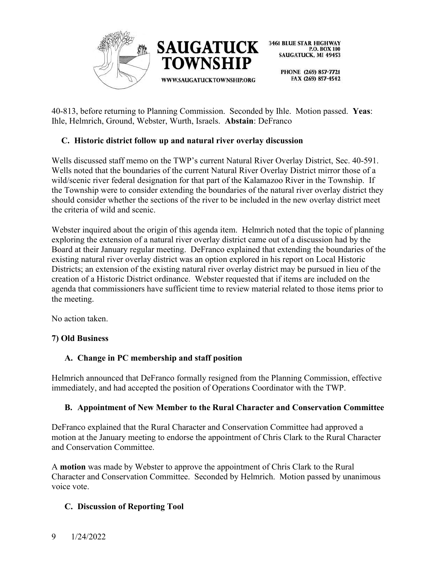

> PHONE (269) 857-7721 FAX (269) 857-4542

40-813, before returning to Planning Commission. Seconded by Ihle. Motion passed. **Yeas**: Ihle, Helmrich, Ground, Webster, Wurth, Israels. **Abstain**: DeFranco

## **C. Historic district follow up and natural river overlay discussion**

Wells discussed staff memo on the TWP's current Natural River Overlay District, Sec. 40-591. Wells noted that the boundaries of the current Natural River Overlay District mirror those of a wild/scenic river federal designation for that part of the Kalamazoo River in the Township. If the Township were to consider extending the boundaries of the natural river overlay district they should consider whether the sections of the river to be included in the new overlay district meet the criteria of wild and scenic.

Webster inquired about the origin of this agenda item. Helmrich noted that the topic of planning exploring the extension of a natural river overlay district came out of a discussion had by the Board at their January regular meeting. DeFranco explained that extending the boundaries of the existing natural river overlay district was an option explored in his report on Local Historic Districts; an extension of the existing natural river overlay district may be pursued in lieu of the creation of a Historic District ordinance. Webster requested that if items are included on the agenda that commissioners have sufficient time to review material related to those items prior to the meeting.

No action taken.

## **7) Old Business**

## **A. Change in PC membership and staff position**

Helmrich announced that DeFranco formally resigned from the Planning Commission, effective immediately, and had accepted the position of Operations Coordinator with the TWP.

## **B. Appointment of New Member to the Rural Character and Conservation Committee**

DeFranco explained that the Rural Character and Conservation Committee had approved a motion at the January meeting to endorse the appointment of Chris Clark to the Rural Character and Conservation Committee.

A **motion** was made by Webster to approve the appointment of Chris Clark to the Rural Character and Conservation Committee. Seconded by Helmrich. Motion passed by unanimous voice vote.

## **C. Discussion of Reporting Tool**

## 9 1/24/2022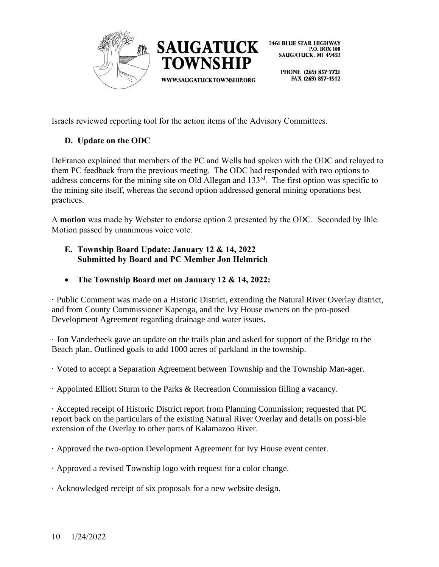

> PHONE (269) 857-7721 FAX (269) 857-4542

Israels reviewed reporting tool for the action items of the Advisory Committees.

# **D. Update on the ODC**

DeFranco explained that members of the PC and Wells had spoken with the ODC and relayed to them PC feedback from the previous meeting. The ODC had responded with two options to address concerns for the mining site on Old Allegan and 133rd. The first option was specific to the mining site itself, whereas the second option addressed general mining operations best practices.

A **motion** was made by Webster to endorse option 2 presented by the ODC. Seconded by Ihle. Motion passed by unanimous voice vote.

- **E. Township Board Update: January 12 & 14, 2022 Submitted by Board and PC Member Jon Helmrich**
- **The Township Board met on January 12 & 14, 2022:**

· Public Comment was made on a Historic District, extending the Natural River Overlay district, and from County Commissioner Kapenga, and the Ivy House owners on the pro-posed Development Agreement regarding drainage and water issues.

· Jon Vanderbeek gave an update on the trails plan and asked for support of the Bridge to the Beach plan. Outlined goals to add 1000 acres of parkland in the township.

· Voted to accept a Separation Agreement between Township and the Township Man-ager.

· Appointed Elliott Sturm to the Parks & Recreation Commission filling a vacancy.

· Accepted receipt of Historic District report from Planning Commission; requested that PC report back on the particulars of the existing Natural River Overlay and details on possi-ble extension of the Overlay to other parts of Kalamazoo River.

· Approved the two-option Development Agreement for Ivy House event center.

· Approved a revised Township logo with request for a color change.

· Acknowledged receipt of six proposals for a new website design.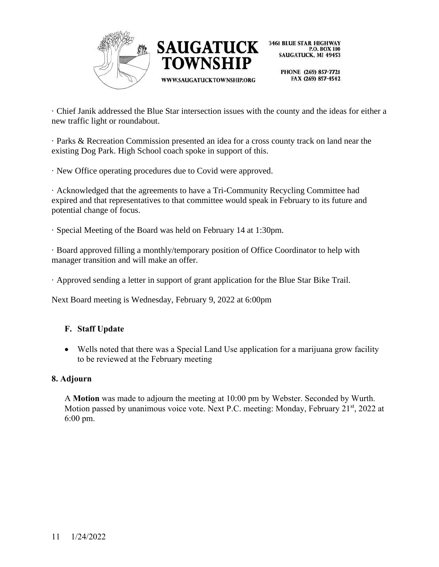



> PHONE (269) 857-7721 FAX (269) 857-4542

· Chief Janik addressed the Blue Star intersection issues with the county and the ideas for either a new traffic light or roundabout.

· Parks & Recreation Commission presented an idea for a cross county track on land near the existing Dog Park. High School coach spoke in support of this.

· New Office operating procedures due to Covid were approved.

· Acknowledged that the agreements to have a Tri-Community Recycling Committee had expired and that representatives to that committee would speak in February to its future and potential change of focus.

· Special Meeting of the Board was held on February 14 at 1:30pm.

· Board approved filling a monthly/temporary position of Office Coordinator to help with manager transition and will make an offer.

· Approved sending a letter in support of grant application for the Blue Star Bike Trail.

Next Board meeting is Wednesday, February 9, 2022 at 6:00pm

## **F. Staff Update**

• Wells noted that there was a Special Land Use application for a marijuana grow facility to be reviewed at the February meeting

## **8. Adjourn**

A **Motion** was made to adjourn the meeting at 10:00 pm by Webster. Seconded by Wurth. Motion passed by unanimous voice vote. Next P.C. meeting: Monday, February  $21<sup>st</sup>$ , 2022 at 6:00 pm.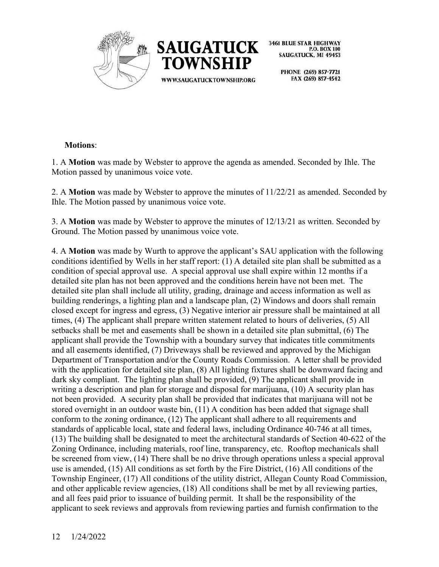



> PHONE (269) 857-7721 FAX (269) 857-4542

## **Motions**:

1. A **Motion** was made by Webster to approve the agenda as amended. Seconded by Ihle. The Motion passed by unanimous voice vote.

2. A **Motion** was made by Webster to approve the minutes of 11/22/21 as amended. Seconded by Ihle. The Motion passed by unanimous voice vote.

3. A **Motion** was made by Webster to approve the minutes of 12/13/21 as written. Seconded by Ground. The Motion passed by unanimous voice vote.

4. A **Motion** was made by Wurth to approve the applicant's SAU application with the following conditions identified by Wells in her staff report: (1) A detailed site plan shall be submitted as a condition of special approval use. A special approval use shall expire within 12 months if a detailed site plan has not been approved and the conditions herein have not been met. The detailed site plan shall include all utility, grading, drainage and access information as well as building renderings, a lighting plan and a landscape plan, (2) Windows and doors shall remain closed except for ingress and egress, (3) Negative interior air pressure shall be maintained at all times, (4) The applicant shall prepare written statement related to hours of deliveries, (5) All setbacks shall be met and easements shall be shown in a detailed site plan submittal, (6) The applicant shall provide the Township with a boundary survey that indicates title commitments and all easements identified, (7) Driveways shall be reviewed and approved by the Michigan Department of Transportation and/or the County Roads Commission. A letter shall be provided with the application for detailed site plan, (8) All lighting fixtures shall be downward facing and dark sky compliant. The lighting plan shall be provided, (9) The applicant shall provide in writing a description and plan for storage and disposal for marijuana, (10) A security plan has not been provided. A security plan shall be provided that indicates that marijuana will not be stored overnight in an outdoor waste bin, (11) A condition has been added that signage shall conform to the zoning ordinance, (12) The applicant shall adhere to all requirements and standards of applicable local, state and federal laws, including Ordinance 40-746 at all times, (13) The building shall be designated to meet the architectural standards of Section 40-622 of the Zoning Ordinance, including materials, roof line, transparency, etc. Rooftop mechanicals shall be screened from view, (14) There shall be no drive through operations unless a special approval use is amended, (15) All conditions as set forth by the Fire District, (16) All conditions of the Township Engineer, (17) All conditions of the utility district, Allegan County Road Commission, and other applicable review agencies, (18) All conditions shall be met by all reviewing parties, and all fees paid prior to issuance of building permit. It shall be the responsibility of the applicant to seek reviews and approvals from reviewing parties and furnish confirmation to the